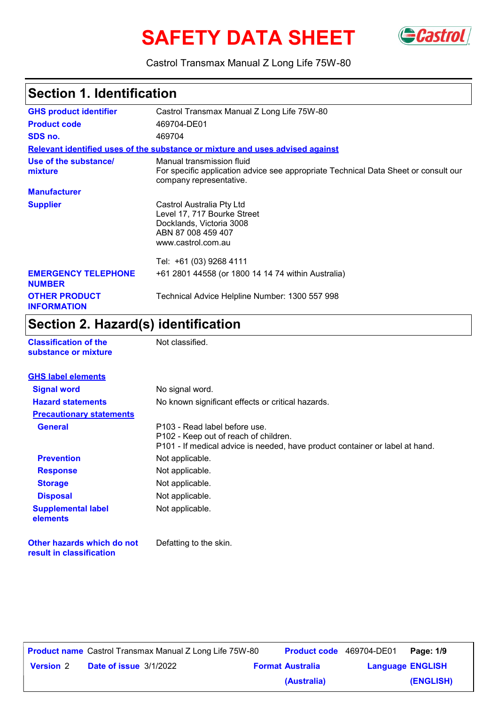# **SAFETY DATA SHEET** GCastrol



Castrol Transmax Manual Z Long Life 75W-80

### **Section 1. Identification**

| <b>GHS product identifier</b>               | Castrol Transmax Manual Z Long Life 75W-80                                                                                                  |  |
|---------------------------------------------|---------------------------------------------------------------------------------------------------------------------------------------------|--|
| <b>Product code</b>                         | 469704-DE01                                                                                                                                 |  |
| SDS no.                                     | 469704                                                                                                                                      |  |
|                                             | Relevant identified uses of the substance or mixture and uses advised against                                                               |  |
| Use of the substance/<br>mixture            | Manual transmission fluid<br>For specific application advice see appropriate Technical Data Sheet or consult our<br>company representative. |  |
| <b>Manufacturer</b>                         |                                                                                                                                             |  |
| <b>Supplier</b>                             | Castrol Australia Pty Ltd<br>Level 17, 717 Bourke Street<br>Docklands, Victoria 3008<br>ABN 87 008 459 407<br>www.castrol.com.au            |  |
|                                             | Tel: +61 (03) 9268 4111                                                                                                                     |  |
| <b>EMERGENCY TELEPHONE</b><br><b>NUMBER</b> | +61 2801 44558 (or 1800 14 14 74 within Australia)                                                                                          |  |
| <b>OTHER PRODUCT</b><br><b>INFORMATION</b>  | Technical Advice Helpline Number: 1300 557 998                                                                                              |  |

### **Section 2. Hazard(s) identification**

**Classification of the Mot classified. substance or mixture**

**result in classification**

| <b>GHS label elements</b>             |                                                                                                                                                        |
|---------------------------------------|--------------------------------------------------------------------------------------------------------------------------------------------------------|
| <b>Signal word</b>                    | No signal word.                                                                                                                                        |
| <b>Hazard statements</b>              | No known significant effects or critical hazards.                                                                                                      |
| <b>Precautionary statements</b>       |                                                                                                                                                        |
| <b>General</b>                        | P103 - Read label before use.<br>P102 - Keep out of reach of children.<br>P101 - If medical advice is needed, have product container or label at hand. |
| <b>Prevention</b>                     | Not applicable.                                                                                                                                        |
| <b>Response</b>                       | Not applicable.                                                                                                                                        |
| <b>Storage</b>                        | Not applicable.                                                                                                                                        |
| <b>Disposal</b>                       | Not applicable.                                                                                                                                        |
| <b>Supplemental label</b><br>elements | Not applicable.                                                                                                                                        |
| Other hazards which do not            | Defatting to the skin.                                                                                                                                 |

|                  |                               | <b>Product name</b> Castrol Transmax Manual Z Long Life 75W-80 | Product code 469704-DE01 |                         | Page: 1/9 |
|------------------|-------------------------------|----------------------------------------------------------------|--------------------------|-------------------------|-----------|
| <b>Version 2</b> | <b>Date of issue 3/1/2022</b> |                                                                | <b>Format Australia</b>  | <b>Language ENGLISH</b> |           |
|                  |                               |                                                                | (Australia)              |                         | (ENGLISH) |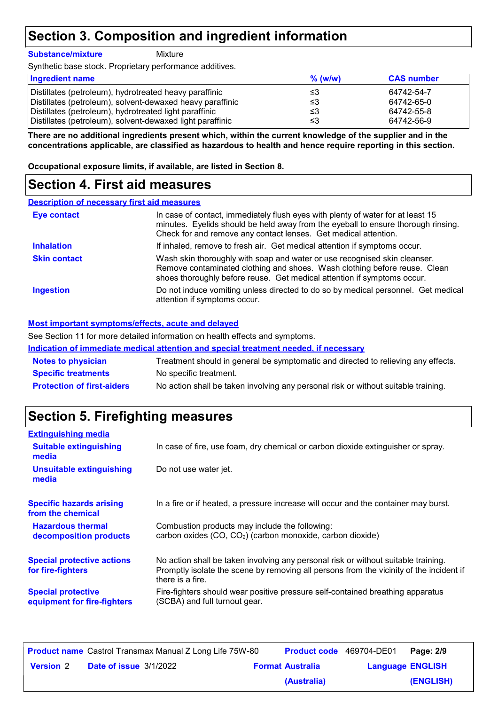### **Section 3. Composition and ingredient information**

**Substance/mixture**

**Mixture** 

Synthetic base stock. Proprietary performance additives.

| <b>Ingredient name</b>                                    | $%$ (w/w) | <b>CAS number</b> |
|-----------------------------------------------------------|-----------|-------------------|
| Distillates (petroleum), hydrotreated heavy paraffinic    | ≤3        | 64742-54-7        |
| Distillates (petroleum), solvent-dewaxed heavy paraffinic | ≤3        | 64742-65-0        |
| Distillates (petroleum), hydrotreated light paraffinic    | ≤3        | 64742-55-8        |
| Distillates (petroleum), solvent-dewaxed light paraffinic | ≤3        | 64742-56-9        |

**There are no additional ingredients present which, within the current knowledge of the supplier and in the concentrations applicable, are classified as hazardous to health and hence require reporting in this section.**

**Occupational exposure limits, if available, are listed in Section 8.**

### **Section 4. First aid measures**

| <b>Description of necessary first aid measures</b> |                                                                                                                                                                                                                                         |
|----------------------------------------------------|-----------------------------------------------------------------------------------------------------------------------------------------------------------------------------------------------------------------------------------------|
| <b>Eye contact</b>                                 | In case of contact, immediately flush eyes with plenty of water for at least 15<br>minutes. Eyelids should be held away from the eyeball to ensure thorough rinsing.<br>Check for and remove any contact lenses. Get medical attention. |
| <b>Inhalation</b>                                  | If inhaled, remove to fresh air. Get medical attention if symptoms occur.                                                                                                                                                               |
| <b>Skin contact</b>                                | Wash skin thoroughly with soap and water or use recognised skin cleanser.<br>Remove contaminated clothing and shoes. Wash clothing before reuse. Clean<br>shoes thoroughly before reuse. Get medical attention if symptoms occur.       |
| <b>Ingestion</b>                                   | Do not induce vomiting unless directed to do so by medical personnel. Get medical<br>attention if symptoms occur.                                                                                                                       |

#### **Most important symptoms/effects, acute and delayed**

See Section 11 for more detailed information on health effects and symptoms.

|                                   | Indication of immediate medical attention and special treatment needed, if necessary |
|-----------------------------------|--------------------------------------------------------------------------------------|
| <b>Notes to physician</b>         | Treatment should in general be symptomatic and directed to relieving any effects.    |
| <b>Specific treatments</b>        | No specific treatment.                                                               |
| <b>Protection of first-aiders</b> | No action shall be taken involving any personal risk or without suitable training.   |

### **Section 5. Firefighting measures**

| <b>Extinguishing media</b>                               |                                                                                                                                                                                                   |
|----------------------------------------------------------|---------------------------------------------------------------------------------------------------------------------------------------------------------------------------------------------------|
| <b>Suitable extinguishing</b><br>media                   | In case of fire, use foam, dry chemical or carbon dioxide extinguisher or spray.                                                                                                                  |
| <b>Unsuitable extinguishing</b><br>media                 | Do not use water jet.                                                                                                                                                                             |
| <b>Specific hazards arising</b><br>from the chemical     | In a fire or if heated, a pressure increase will occur and the container may burst.                                                                                                               |
| <b>Hazardous thermal</b><br>decomposition products       | Combustion products may include the following:<br>carbon oxides (CO, CO <sub>2</sub> ) (carbon monoxide, carbon dioxide)                                                                          |
| <b>Special protective actions</b><br>for fire-fighters   | No action shall be taken involving any personal risk or without suitable training.<br>Promptly isolate the scene by removing all persons from the vicinity of the incident if<br>there is a fire. |
| <b>Special protective</b><br>equipment for fire-fighters | Fire-fighters should wear positive pressure self-contained breathing apparatus<br>(SCBA) and full turnout gear.                                                                                   |

|                  | <b>Product name</b> Castrol Transmax Manual Z Long Life 75W-80 | <b>Product code</b> 469704-DE01 |                         | Page: 2/9 |
|------------------|----------------------------------------------------------------|---------------------------------|-------------------------|-----------|
| <b>Version 2</b> | <b>Date of issue 3/1/2022</b>                                  | <b>Format Australia</b>         | <b>Language ENGLISH</b> |           |
|                  |                                                                | (Australia)                     |                         | (ENGLISH) |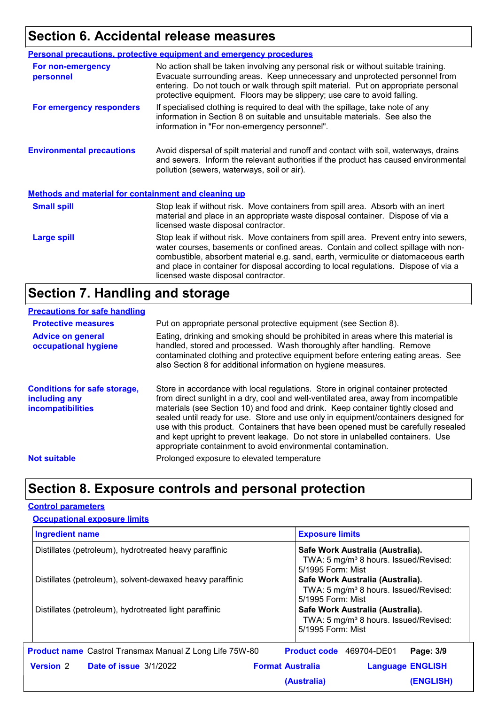### **Section 6. Accidental release measures**

|                                                             | <b>Personal precautions, protective equipment and emergency procedures</b>                                                                                                                                                                                                                                                                                                                         |  |  |
|-------------------------------------------------------------|----------------------------------------------------------------------------------------------------------------------------------------------------------------------------------------------------------------------------------------------------------------------------------------------------------------------------------------------------------------------------------------------------|--|--|
| For non-emergency<br>personnel                              | No action shall be taken involving any personal risk or without suitable training.<br>Evacuate surrounding areas. Keep unnecessary and unprotected personnel from<br>entering. Do not touch or walk through spilt material. Put on appropriate personal<br>protective equipment. Floors may be slippery; use care to avoid falling.                                                                |  |  |
| For emergency responders                                    | If specialised clothing is required to deal with the spillage, take note of any<br>information in Section 8 on suitable and unsuitable materials. See also the<br>information in "For non-emergency personnel".                                                                                                                                                                                    |  |  |
| <b>Environmental precautions</b>                            | Avoid dispersal of spilt material and runoff and contact with soil, waterways, drains<br>and sewers. Inform the relevant authorities if the product has caused environmental<br>pollution (sewers, waterways, soil or air).                                                                                                                                                                        |  |  |
| <b>Methods and material for containment and cleaning up</b> |                                                                                                                                                                                                                                                                                                                                                                                                    |  |  |
| <b>Small spill</b>                                          | Stop leak if without risk. Move containers from spill area. Absorb with an inert<br>material and place in an appropriate waste disposal container. Dispose of via a<br>licensed waste disposal contractor.                                                                                                                                                                                         |  |  |
| <b>Large spill</b>                                          | Stop leak if without risk. Move containers from spill area. Prevent entry into sewers,<br>water courses, basements or confined areas. Contain and collect spillage with non-<br>combustible, absorbent material e.g. sand, earth, vermiculite or diatomaceous earth<br>and place in container for disposal according to local regulations. Dispose of via a<br>licensed waste disposal contractor. |  |  |

### **Section 7. Handling and storage**

#### **Precautions for safe handling**

| <b>Protective measures</b>                                                       | Put on appropriate personal protective equipment (see Section 8).                                                                                                                                                                                                                                                                                                                                                                                                                                                                                                                              |
|----------------------------------------------------------------------------------|------------------------------------------------------------------------------------------------------------------------------------------------------------------------------------------------------------------------------------------------------------------------------------------------------------------------------------------------------------------------------------------------------------------------------------------------------------------------------------------------------------------------------------------------------------------------------------------------|
| <b>Advice on general</b><br>occupational hygiene                                 | Eating, drinking and smoking should be prohibited in areas where this material is<br>handled, stored and processed. Wash thoroughly after handling. Remove<br>contaminated clothing and protective equipment before entering eating areas. See<br>also Section 8 for additional information on hygiene measures.                                                                                                                                                                                                                                                                               |
| <b>Conditions for safe storage,</b><br>including any<br><b>incompatibilities</b> | Store in accordance with local regulations. Store in original container protected<br>from direct sunlight in a dry, cool and well-ventilated area, away from incompatible<br>materials (see Section 10) and food and drink. Keep container tightly closed and<br>sealed until ready for use. Store and use only in equipment/containers designed for<br>use with this product. Containers that have been opened must be carefully resealed<br>and kept upright to prevent leakage. Do not store in unlabelled containers. Use<br>appropriate containment to avoid environmental contamination. |
| <b>Not suitable</b>                                                              | Prolonged exposure to elevated temperature                                                                                                                                                                                                                                                                                                                                                                                                                                                                                                                                                     |
|                                                                                  |                                                                                                                                                                                                                                                                                                                                                                                                                                                                                                                                                                                                |

### **Section 8. Exposure controls and personal protection**

#### **Control parameters**

| <b>Ingredient name</b>                                         | <b>Exposure limits</b>                                                                                     |
|----------------------------------------------------------------|------------------------------------------------------------------------------------------------------------|
| Distillates (petroleum), hydrotreated heavy paraffinic         | Safe Work Australia (Australia).<br>TWA: 5 mg/m <sup>3</sup> 8 hours. Issued/Revised:<br>5/1995 Form: Mist |
| Distillates (petroleum), solvent-dewaxed heavy paraffinic      | Safe Work Australia (Australia).<br>TWA: 5 mg/m <sup>3</sup> 8 hours. Issued/Revised:<br>5/1995 Form: Mist |
| Distillates (petroleum), hydrotreated light paraffinic         | Safe Work Australia (Australia).<br>TWA: 5 mg/m <sup>3</sup> 8 hours. Issued/Revised:<br>5/1995 Form: Mist |
| <b>Product name</b> Castrol Transmax Manual Z Long Life 75W-80 | Product code 469704-DE01<br>Page: 3/9                                                                      |
| <b>Version 2</b> Date of issue 3/1/2022                        | <b>Format Australia</b><br><b>Language ENGLISH</b>                                                         |
|                                                                | (ENGLISH)<br>(Australia)                                                                                   |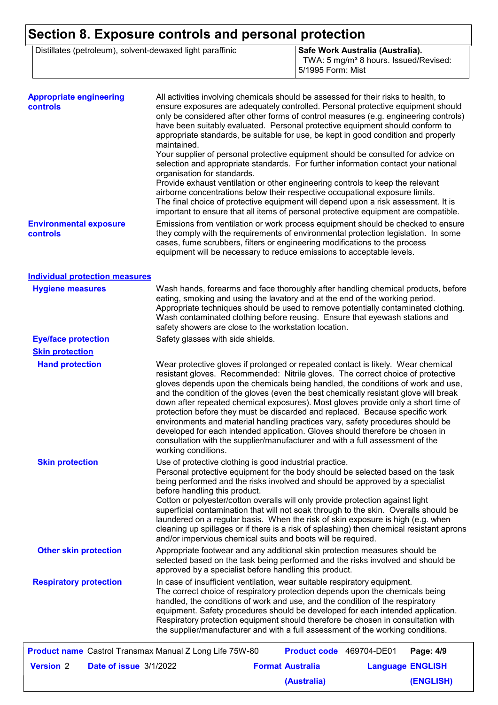## **Section 8. Exposure controls and personal protection**

|  | Distillates (petroleum), solvent-dewaxed light paraffinic |
|--|-----------------------------------------------------------|
|--|-----------------------------------------------------------|

**Safe Work Australia (Australia).** TWA: 5 mg/m<sup>3</sup> 8 hours. Issued/Revised: 5/1995 Form: Mist

**(ENGLISH)**

| The final choice of protective equipment will depend upon a risk assessment. It is<br>important to ensure that all items of personal protective equipment are compatible.<br>Emissions from ventilation or work process equipment should be checked to ensure<br><b>Environmental exposure</b><br>they comply with the requirements of environmental protection legislation. In some<br><b>controls</b><br>cases, fume scrubbers, filters or engineering modifications to the process<br>equipment will be necessary to reduce emissions to acceptable levels.<br><b>Individual protection measures</b><br>Wash hands, forearms and face thoroughly after handling chemical products, before<br><b>Hygiene measures</b><br>eating, smoking and using the lavatory and at the end of the working period.<br>Appropriate techniques should be used to remove potentially contaminated clothing.<br>Wash contaminated clothing before reusing. Ensure that eyewash stations and<br>safety showers are close to the workstation location.<br><b>Eye/face protection</b><br>Safety glasses with side shields.<br><b>Skin protection</b><br>Wear protective gloves if prolonged or repeated contact is likely. Wear chemical<br><b>Hand protection</b><br>resistant gloves. Recommended: Nitrile gloves. The correct choice of protective<br>gloves depends upon the chemicals being handled, the conditions of work and use,<br>and the condition of the gloves (even the best chemically resistant glove will break<br>down after repeated chemical exposures). Most gloves provide only a short time of<br>protection before they must be discarded and replaced. Because specific work<br>environments and material handling practices vary, safety procedures should be<br>developed for each intended application. Gloves should therefore be chosen in<br>consultation with the supplier/manufacturer and with a full assessment of the<br>working conditions.<br>Use of protective clothing is good industrial practice.<br><b>Skin protection</b><br>Personal protective equipment for the body should be selected based on the task<br>being performed and the risks involved and should be approved by a specialist<br>before handling this product.<br>Cotton or polyester/cotton overalls will only provide protection against light<br>superficial contamination that will not soak through to the skin. Overalls should be<br>laundered on a regular basis. When the risk of skin exposure is high (e.g. when<br>cleaning up spillages or if there is a risk of splashing) then chemical resistant aprons<br>and/or impervious chemical suits and boots will be required.<br><b>Other skin protection</b><br>Appropriate footwear and any additional skin protection measures should be<br>selected based on the task being performed and the risks involved and should be<br>approved by a specialist before handling this product.<br><b>Respiratory protection</b><br>In case of insufficient ventilation, wear suitable respiratory equipment.<br>The correct choice of respiratory protection depends upon the chemicals being<br>handled, the conditions of work and use, and the condition of the respiratory<br>equipment. Safety procedures should be developed for each intended application.<br>Respiratory protection equipment should therefore be chosen in consultation with<br>the supplier/manufacturer and with a full assessment of the working conditions.<br><b>Product name</b> Castrol Transmax Manual Z Long Life 75W-80<br>Product code 469704-DE01<br>Page: 4/9<br><b>Version 2</b><br>Date of issue 3/1/2022<br><b>Format Australia</b><br><b>Language ENGLISH</b> | <b>Appropriate engineering</b><br><b>controls</b> | All activities involving chemicals should be assessed for their risks to health, to<br>ensure exposures are adequately controlled. Personal protective equipment should<br>only be considered after other forms of control measures (e.g. engineering controls)<br>have been suitably evaluated. Personal protective equipment should conform to<br>appropriate standards, be suitable for use, be kept in good condition and properly<br>maintained.<br>Your supplier of personal protective equipment should be consulted for advice on<br>selection and appropriate standards. For further information contact your national<br>organisation for standards.<br>Provide exhaust ventilation or other engineering controls to keep the relevant<br>airborne concentrations below their respective occupational exposure limits. |
|--------------------------------------------------------------------------------------------------------------------------------------------------------------------------------------------------------------------------------------------------------------------------------------------------------------------------------------------------------------------------------------------------------------------------------------------------------------------------------------------------------------------------------------------------------------------------------------------------------------------------------------------------------------------------------------------------------------------------------------------------------------------------------------------------------------------------------------------------------------------------------------------------------------------------------------------------------------------------------------------------------------------------------------------------------------------------------------------------------------------------------------------------------------------------------------------------------------------------------------------------------------------------------------------------------------------------------------------------------------------------------------------------------------------------------------------------------------------------------------------------------------------------------------------------------------------------------------------------------------------------------------------------------------------------------------------------------------------------------------------------------------------------------------------------------------------------------------------------------------------------------------------------------------------------------------------------------------------------------------------------------------------------------------------------------------------------------------------------------------------------------------------------------------------------------------------------------------------------------------------------------------------------------------------------------------------------------------------------------------------------------------------------------------------------------------------------------------------------------------------------------------------------------------------------------------------------------------------------------------------------------------------------------------------------------------------------------------------------------------------------------------------------------------------------------------------------------------------------------------------------------------------------------------------------------------------------------------------------------------------------------------------------------------------------------------------------------------------------------------------------------------------------------------------------------------------------------------------------------------------------------------------------------------------------------------------------------------------------------------------------------------------------------------------------------------------------------------------------------------------------------------------------------------------------------------------------------------------------------------------------------------------------------------------------------------------------------|---------------------------------------------------|----------------------------------------------------------------------------------------------------------------------------------------------------------------------------------------------------------------------------------------------------------------------------------------------------------------------------------------------------------------------------------------------------------------------------------------------------------------------------------------------------------------------------------------------------------------------------------------------------------------------------------------------------------------------------------------------------------------------------------------------------------------------------------------------------------------------------------|
|                                                                                                                                                                                                                                                                                                                                                                                                                                                                                                                                                                                                                                                                                                                                                                                                                                                                                                                                                                                                                                                                                                                                                                                                                                                                                                                                                                                                                                                                                                                                                                                                                                                                                                                                                                                                                                                                                                                                                                                                                                                                                                                                                                                                                                                                                                                                                                                                                                                                                                                                                                                                                                                                                                                                                                                                                                                                                                                                                                                                                                                                                                                                                                                                                                                                                                                                                                                                                                                                                                                                                                                                                                                                                                        |                                                   |                                                                                                                                                                                                                                                                                                                                                                                                                                                                                                                                                                                                                                                                                                                                                                                                                                  |
|                                                                                                                                                                                                                                                                                                                                                                                                                                                                                                                                                                                                                                                                                                                                                                                                                                                                                                                                                                                                                                                                                                                                                                                                                                                                                                                                                                                                                                                                                                                                                                                                                                                                                                                                                                                                                                                                                                                                                                                                                                                                                                                                                                                                                                                                                                                                                                                                                                                                                                                                                                                                                                                                                                                                                                                                                                                                                                                                                                                                                                                                                                                                                                                                                                                                                                                                                                                                                                                                                                                                                                                                                                                                                                        |                                                   |                                                                                                                                                                                                                                                                                                                                                                                                                                                                                                                                                                                                                                                                                                                                                                                                                                  |
|                                                                                                                                                                                                                                                                                                                                                                                                                                                                                                                                                                                                                                                                                                                                                                                                                                                                                                                                                                                                                                                                                                                                                                                                                                                                                                                                                                                                                                                                                                                                                                                                                                                                                                                                                                                                                                                                                                                                                                                                                                                                                                                                                                                                                                                                                                                                                                                                                                                                                                                                                                                                                                                                                                                                                                                                                                                                                                                                                                                                                                                                                                                                                                                                                                                                                                                                                                                                                                                                                                                                                                                                                                                                                                        |                                                   |                                                                                                                                                                                                                                                                                                                                                                                                                                                                                                                                                                                                                                                                                                                                                                                                                                  |
|                                                                                                                                                                                                                                                                                                                                                                                                                                                                                                                                                                                                                                                                                                                                                                                                                                                                                                                                                                                                                                                                                                                                                                                                                                                                                                                                                                                                                                                                                                                                                                                                                                                                                                                                                                                                                                                                                                                                                                                                                                                                                                                                                                                                                                                                                                                                                                                                                                                                                                                                                                                                                                                                                                                                                                                                                                                                                                                                                                                                                                                                                                                                                                                                                                                                                                                                                                                                                                                                                                                                                                                                                                                                                                        |                                                   |                                                                                                                                                                                                                                                                                                                                                                                                                                                                                                                                                                                                                                                                                                                                                                                                                                  |
|                                                                                                                                                                                                                                                                                                                                                                                                                                                                                                                                                                                                                                                                                                                                                                                                                                                                                                                                                                                                                                                                                                                                                                                                                                                                                                                                                                                                                                                                                                                                                                                                                                                                                                                                                                                                                                                                                                                                                                                                                                                                                                                                                                                                                                                                                                                                                                                                                                                                                                                                                                                                                                                                                                                                                                                                                                                                                                                                                                                                                                                                                                                                                                                                                                                                                                                                                                                                                                                                                                                                                                                                                                                                                                        |                                                   |                                                                                                                                                                                                                                                                                                                                                                                                                                                                                                                                                                                                                                                                                                                                                                                                                                  |
|                                                                                                                                                                                                                                                                                                                                                                                                                                                                                                                                                                                                                                                                                                                                                                                                                                                                                                                                                                                                                                                                                                                                                                                                                                                                                                                                                                                                                                                                                                                                                                                                                                                                                                                                                                                                                                                                                                                                                                                                                                                                                                                                                                                                                                                                                                                                                                                                                                                                                                                                                                                                                                                                                                                                                                                                                                                                                                                                                                                                                                                                                                                                                                                                                                                                                                                                                                                                                                                                                                                                                                                                                                                                                                        |                                                   |                                                                                                                                                                                                                                                                                                                                                                                                                                                                                                                                                                                                                                                                                                                                                                                                                                  |
|                                                                                                                                                                                                                                                                                                                                                                                                                                                                                                                                                                                                                                                                                                                                                                                                                                                                                                                                                                                                                                                                                                                                                                                                                                                                                                                                                                                                                                                                                                                                                                                                                                                                                                                                                                                                                                                                                                                                                                                                                                                                                                                                                                                                                                                                                                                                                                                                                                                                                                                                                                                                                                                                                                                                                                                                                                                                                                                                                                                                                                                                                                                                                                                                                                                                                                                                                                                                                                                                                                                                                                                                                                                                                                        |                                                   |                                                                                                                                                                                                                                                                                                                                                                                                                                                                                                                                                                                                                                                                                                                                                                                                                                  |
|                                                                                                                                                                                                                                                                                                                                                                                                                                                                                                                                                                                                                                                                                                                                                                                                                                                                                                                                                                                                                                                                                                                                                                                                                                                                                                                                                                                                                                                                                                                                                                                                                                                                                                                                                                                                                                                                                                                                                                                                                                                                                                                                                                                                                                                                                                                                                                                                                                                                                                                                                                                                                                                                                                                                                                                                                                                                                                                                                                                                                                                                                                                                                                                                                                                                                                                                                                                                                                                                                                                                                                                                                                                                                                        |                                                   |                                                                                                                                                                                                                                                                                                                                                                                                                                                                                                                                                                                                                                                                                                                                                                                                                                  |
|                                                                                                                                                                                                                                                                                                                                                                                                                                                                                                                                                                                                                                                                                                                                                                                                                                                                                                                                                                                                                                                                                                                                                                                                                                                                                                                                                                                                                                                                                                                                                                                                                                                                                                                                                                                                                                                                                                                                                                                                                                                                                                                                                                                                                                                                                                                                                                                                                                                                                                                                                                                                                                                                                                                                                                                                                                                                                                                                                                                                                                                                                                                                                                                                                                                                                                                                                                                                                                                                                                                                                                                                                                                                                                        |                                                   |                                                                                                                                                                                                                                                                                                                                                                                                                                                                                                                                                                                                                                                                                                                                                                                                                                  |
|                                                                                                                                                                                                                                                                                                                                                                                                                                                                                                                                                                                                                                                                                                                                                                                                                                                                                                                                                                                                                                                                                                                                                                                                                                                                                                                                                                                                                                                                                                                                                                                                                                                                                                                                                                                                                                                                                                                                                                                                                                                                                                                                                                                                                                                                                                                                                                                                                                                                                                                                                                                                                                                                                                                                                                                                                                                                                                                                                                                                                                                                                                                                                                                                                                                                                                                                                                                                                                                                                                                                                                                                                                                                                                        |                                                   |                                                                                                                                                                                                                                                                                                                                                                                                                                                                                                                                                                                                                                                                                                                                                                                                                                  |
|                                                                                                                                                                                                                                                                                                                                                                                                                                                                                                                                                                                                                                                                                                                                                                                                                                                                                                                                                                                                                                                                                                                                                                                                                                                                                                                                                                                                                                                                                                                                                                                                                                                                                                                                                                                                                                                                                                                                                                                                                                                                                                                                                                                                                                                                                                                                                                                                                                                                                                                                                                                                                                                                                                                                                                                                                                                                                                                                                                                                                                                                                                                                                                                                                                                                                                                                                                                                                                                                                                                                                                                                                                                                                                        |                                                   |                                                                                                                                                                                                                                                                                                                                                                                                                                                                                                                                                                                                                                                                                                                                                                                                                                  |
|                                                                                                                                                                                                                                                                                                                                                                                                                                                                                                                                                                                                                                                                                                                                                                                                                                                                                                                                                                                                                                                                                                                                                                                                                                                                                                                                                                                                                                                                                                                                                                                                                                                                                                                                                                                                                                                                                                                                                                                                                                                                                                                                                                                                                                                                                                                                                                                                                                                                                                                                                                                                                                                                                                                                                                                                                                                                                                                                                                                                                                                                                                                                                                                                                                                                                                                                                                                                                                                                                                                                                                                                                                                                                                        |                                                   |                                                                                                                                                                                                                                                                                                                                                                                                                                                                                                                                                                                                                                                                                                                                                                                                                                  |

**(Australia)**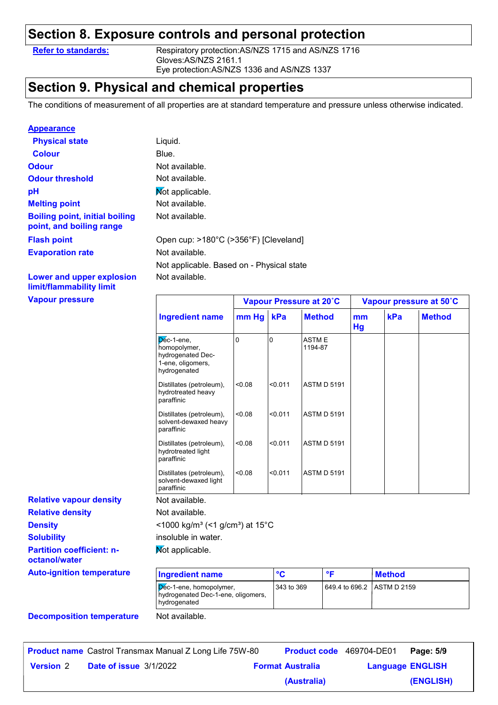### **Section 8. Exposure controls and personal protection**

**Refer to standards:** Respiratory protection:AS/NZS 1715 and AS/NZS 1716 Gloves:AS/NZS 2161.1 Eye protection:AS/NZS 1336 and AS/NZS 1337

### **Section 9. Physical and chemical properties**

Not available.

The conditions of measurement of all properties are at standard temperature and pressure unless otherwise indicated.

#### **Appearance**

| <b>Physical state</b>                                             | Liquid.                                   |
|-------------------------------------------------------------------|-------------------------------------------|
| <b>Colour</b>                                                     | Blue.                                     |
| <b>Odour</b>                                                      | Not available.                            |
| <b>Odour threshold</b>                                            | Not available.                            |
| рH                                                                | Not applicable.                           |
| <b>Melting point</b>                                              | Not available.                            |
| <b>Boiling point, initial boiling</b><br>point, and boiling range | Not available.                            |
| <b>Flash point</b>                                                | Open cup: >180°C (>356°F) [Cleveland]     |
| <b>Evaporation rate</b>                                           | Not available.                            |
|                                                                   | Not applicable. Based on - Physical state |

**Lower and upper explosion limit/flammability limit**

**Vapour pressure**

**Solubility**

**octanol/water**

| Vapour pressure                |                                                                                         |        |         | Vapour Pressure at 20°C | Vapour pressure at 50°C |     |               |
|--------------------------------|-----------------------------------------------------------------------------------------|--------|---------|-------------------------|-------------------------|-----|---------------|
|                                | <b>Ingredient name</b>                                                                  | mm Hg  | kPa     | <b>Method</b>           | mm<br>Hg                | kPa | <b>Method</b> |
|                                | $Dec-1$ -ene,<br>homopolymer,<br>hydrogenated Dec-<br>1-ene, oligomers,<br>hydrogenated | O      | 10      | <b>ASTME</b><br>1194-87 |                         |     |               |
|                                | Distillates (petroleum),<br>hydrotreated heavy<br>paraffinic                            | < 0.08 | < 0.011 | <b>ASTM D 5191</b>      |                         |     |               |
|                                | Distillates (petroleum),<br>solvent-dewaxed heavy<br>paraffinic                         | 0.08   | < 0.011 | <b>ASTM D 5191</b>      |                         |     |               |
|                                | Distillates (petroleum),<br>hydrotreated light<br>paraffinic                            | < 0.08 | < 0.011 | <b>ASTM D 5191</b>      |                         |     |               |
|                                | Distillates (petroleum),<br>solvent-dewaxed light<br>paraffinic                         | < 0.08 | < 0.011 | <b>ASTM D 5191</b>      |                         |     |               |
| <b>Relative vapour density</b> | Not available.                                                                          |        |         |                         |                         |     |               |
| <b>Relative density</b>        | Not available.                                                                          |        |         |                         |                         |     |               |
| <b>Density</b>                 | <1000 kg/m <sup>3</sup> (<1 g/cm <sup>3</sup> ) at 15°C                                 |        |         |                         |                         |     |               |

**Partition coefficient: n**insoluble in water.

Mot applicable.

| <b>Ingredient name</b>                                                        | °C         | ᅂ                          | Method |
|-------------------------------------------------------------------------------|------------|----------------------------|--------|
| Dec-1-ene, homopolymer,<br>hydrogenated Dec-1-ene, oligomers,<br>hydrogenated | 343 to 369 | 649.4 to 696.2 ASTM D 2159 |        |

#### **Decomposition temperature** Not available.

**Auto-ignition temperature**

|                  | <b>Product name</b> Castrol Transmax Manual Z Long Life 75W-80 | <b>Product code</b> 469704-DE01 |                         | Page: 5/9 |
|------------------|----------------------------------------------------------------|---------------------------------|-------------------------|-----------|
| <b>Version 2</b> | <b>Date of issue 3/1/2022</b>                                  | <b>Format Australia</b>         | <b>Language ENGLISH</b> |           |
|                  |                                                                | (Australia)                     |                         | (ENGLISH) |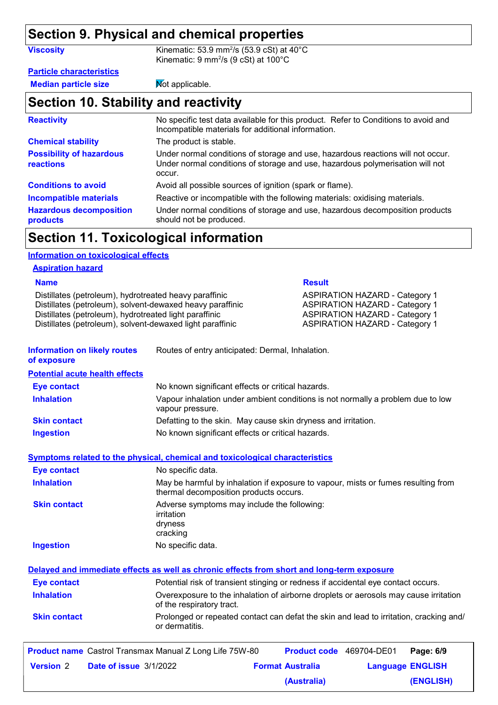### **Section 9. Physical and chemical properties**

| <b>Viscosity</b>                             | Kinematic: 53.9 mm <sup>2</sup> /s (53.9 cSt) at $40^{\circ}$ C<br>Kinematic: 9 mm <sup>2</sup> /s (9 cSt) at 100°C                                                        |
|----------------------------------------------|----------------------------------------------------------------------------------------------------------------------------------------------------------------------------|
| <b>Particle characteristics</b>              |                                                                                                                                                                            |
| <b>Median particle size</b>                  | Mot applicable.                                                                                                                                                            |
| Section 10. Stability and reactivity         |                                                                                                                                                                            |
| <b>Reactivity</b>                            | No specific test data available for this product. Refer to Conditions to avoid and<br>Incompatible materials for additional information.                                   |
| <b>Chemical stability</b>                    | The product is stable.                                                                                                                                                     |
| <b>Possibility of hazardous</b><br>reactions | Under normal conditions of storage and use, hazardous reactions will not occur.<br>Under normal conditions of storage and use, hazardous polymerisation will not<br>occur. |
| <b>Conditions to avoid</b>                   | Avoid all possible sources of ignition (spark or flame).                                                                                                                   |

**Hazardous decomposition products** Under normal conditions of storage and use, hazardous decomposition products should not be produced. **Incompatible materials** Reactive or incompatible with the following materials: oxidising materials.

### **Section 11. Toxicological information**

#### **Information on toxicological effects**

#### **Aspiration hazard**

| <b>Name</b>                                                                                                                                                                                                                                |                                                  | <b>Result</b>                                                                                                                                                    |  |  |
|--------------------------------------------------------------------------------------------------------------------------------------------------------------------------------------------------------------------------------------------|--------------------------------------------------|------------------------------------------------------------------------------------------------------------------------------------------------------------------|--|--|
| Distillates (petroleum), hydrotreated heavy paraffinic<br>Distillates (petroleum), solvent-dewaxed heavy paraffinic<br>Distillates (petroleum), hydrotreated light paraffinic<br>Distillates (petroleum), solvent-dewaxed light paraffinic |                                                  | <b>ASPIRATION HAZARD - Category 1</b><br><b>ASPIRATION HAZARD - Category 1</b><br><b>ASPIRATION HAZARD - Category 1</b><br><b>ASPIRATION HAZARD - Category 1</b> |  |  |
| <b>Information on likely routes</b><br>of exposure                                                                                                                                                                                         | Routes of entry anticipated: Dermal, Inhalation. |                                                                                                                                                                  |  |  |

**Potential acute health effects**

| <b>Eye contact</b>  | No known significant effects or critical hazards.                                                   |
|---------------------|-----------------------------------------------------------------------------------------------------|
| <b>Inhalation</b>   | Vapour inhalation under ambient conditions is not normally a problem due to low<br>vapour pressure. |
| <b>Skin contact</b> | Defatting to the skin. May cause skin dryness and irritation.                                       |
| <b>Ingestion</b>    | No known significant effects or critical hazards.                                                   |

#### **Symptoms related to the physical, chemical and toxicological characteristics**

| <b>Eye contact</b>  | No specific data.                                                                                                           |
|---------------------|-----------------------------------------------------------------------------------------------------------------------------|
| <b>Inhalation</b>   | May be harmful by inhalation if exposure to vapour, mists or fumes resulting from<br>thermal decomposition products occurs. |
| <b>Skin contact</b> | Adverse symptoms may include the following:<br>irritation<br>dryness<br>cracking                                            |
| Ingestion           | No specific data.                                                                                                           |

|                     | Delayed and immediate effects as well as chronic effects from short and long-term exposure                        |
|---------------------|-------------------------------------------------------------------------------------------------------------------|
| <b>Eye contact</b>  | Potential risk of transient stinging or redness if accidental eye contact occurs.                                 |
| <b>Inhalation</b>   | Overexposure to the inhalation of airborne droplets or aerosols may cause irritation<br>of the respiratory tract. |
| <b>Skin contact</b> | Prolonged or repeated contact can defat the skin and lead to irritation, cracking and/<br>or dermatitis.          |

|                  | <b>Product name</b> Castrol Transmax Manual Z Long Life 75W-80 | <b>Product code</b> 469704-DE01 |                         | Page: 6/9 |
|------------------|----------------------------------------------------------------|---------------------------------|-------------------------|-----------|
| <b>Version</b> 2 | <b>Date of issue 3/1/2022</b>                                  | <b>Format Australia</b>         | <b>Language ENGLISH</b> |           |
|                  |                                                                | (Australia)                     |                         | (ENGLISH) |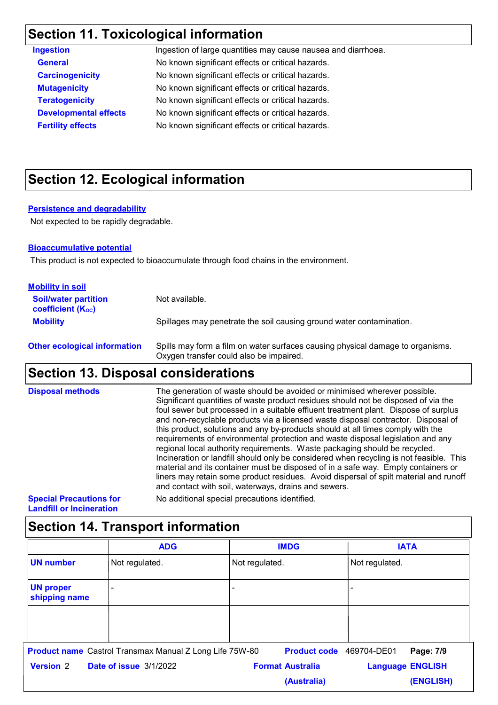### **Section 11. Toxicological information**

| <b>Ingestion</b>             | Ingestion of large quantities may cause nausea and diarrhoea. |
|------------------------------|---------------------------------------------------------------|
| <b>General</b>               | No known significant effects or critical hazards.             |
| <b>Carcinogenicity</b>       | No known significant effects or critical hazards.             |
| <b>Mutagenicity</b>          | No known significant effects or critical hazards.             |
| <b>Teratogenicity</b>        | No known significant effects or critical hazards.             |
| <b>Developmental effects</b> | No known significant effects or critical hazards.             |
| <b>Fertility effects</b>     | No known significant effects or critical hazards.             |
|                              |                                                               |

### **Section 12. Ecological information**

#### **Persistence and degradability**

Not expected to be rapidly degradable.

#### **Bioaccumulative potential**

This product is not expected to bioaccumulate through food chains in the environment.

| <b>Mobility in soil</b>                                 |                                                                          |
|---------------------------------------------------------|--------------------------------------------------------------------------|
| <b>Soil/water partition</b><br><b>coefficient (Koc)</b> | Not available.                                                           |
| <b>Mobility</b>                                         | Spillages may penetrate the soil causing ground water contamination.     |
| Other esclession information                            | Spillo mou form o film on water ourfaces cousing physical demans to erge |

| <b>Other ecological information</b> | Spills may form a film on water surfaces causing physical damage to organisms. |
|-------------------------------------|--------------------------------------------------------------------------------|
|                                     | Oxygen transfer could also be impaired.                                        |

### **Section 13. Disposal considerations**

| <b>Disposal methods</b>        | The generation of waste should be avoided or minimised wherever possible.<br>Significant quantities of waste product residues should not be disposed of via the<br>foul sewer but processed in a suitable effluent treatment plant. Dispose of surplus<br>and non-recyclable products via a licensed waste disposal contractor. Disposal of<br>this product, solutions and any by-products should at all times comply with the<br>requirements of environmental protection and waste disposal legislation and any<br>regional local authority requirements. Waste packaging should be recycled.<br>Incineration or landfill should only be considered when recycling is not feasible. This<br>material and its container must be disposed of in a safe way. Empty containers or<br>liners may retain some product residues. Avoid dispersal of spilt material and runoff<br>and contact with soil, waterways, drains and sewers. |
|--------------------------------|----------------------------------------------------------------------------------------------------------------------------------------------------------------------------------------------------------------------------------------------------------------------------------------------------------------------------------------------------------------------------------------------------------------------------------------------------------------------------------------------------------------------------------------------------------------------------------------------------------------------------------------------------------------------------------------------------------------------------------------------------------------------------------------------------------------------------------------------------------------------------------------------------------------------------------|
| <b>Special Precautions for</b> | No additional special precautions identified.                                                                                                                                                                                                                                                                                                                                                                                                                                                                                                                                                                                                                                                                                                                                                                                                                                                                                    |

**Landfill or Incineration**

| <b>ADG</b>                        |                                                                | <b>IMDG</b>             | <b>IATA</b>              |  |
|-----------------------------------|----------------------------------------------------------------|-------------------------|--------------------------|--|
| <b>UN number</b>                  | Not regulated.                                                 | Not regulated.          | Not regulated.           |  |
| <b>UN proper</b><br>shipping name |                                                                |                         |                          |  |
|                                   |                                                                |                         |                          |  |
|                                   |                                                                |                         |                          |  |
|                                   | <b>Product name</b> Castrol Transmax Manual Z Long Life 75W-80 | <b>Product code</b>     | 469704-DE01<br>Page: 7/9 |  |
| <b>Version 2</b>                  | <b>Date of issue 3/1/2022</b>                                  | <b>Format Australia</b> | <b>Language ENGLISH</b>  |  |
|                                   |                                                                | (Australia)             | (ENGLISH)                |  |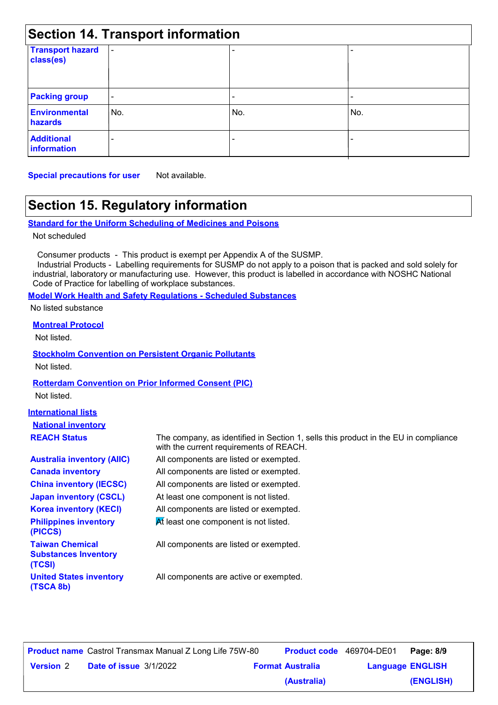| <b>Section 14. Transport information</b> |                          |     |     |  |
|------------------------------------------|--------------------------|-----|-----|--|
| <b>Transport hazard</b><br>class(es)     | $\blacksquare$           |     |     |  |
| <b>Packing group</b>                     | $\overline{\phantom{a}}$ |     |     |  |
| <b>Environmental</b><br>hazards          | No.                      | No. | No. |  |
| <b>Additional</b><br>information         |                          |     |     |  |

**Special precautions for user** Not available.

### **Section 15. Regulatory information**

```
Standard for the Uniform Scheduling of Medicines and Poisons
```
Not scheduled

Consumer products - This product is exempt per Appendix A of the SUSMP.

 Industrial Products - Labelling requirements for SUSMP do not apply to a poison that is packed and sold solely for industrial, laboratory or manufacturing use. However, this product is labelled in accordance with NOSHC National Code of Practice for labelling of workplace substances.

#### **Model Work Health and Safety Regulations - Scheduled Substances**

No listed substance

**Montreal Protocol**

Not listed.

### **Stockholm Convention on Persistent Organic Pollutants**

Not listed.

### **Rotterdam Convention on Prior Informed Consent (PIC)**

Not listed.

#### **International lists National inventory REACH Status**

| <b>Australia inventory (AIIC)</b>                     |
|-------------------------------------------------------|
| <b>Canada inventory</b>                               |
| <b>China inventory (IECSC)</b>                        |
| <b>Japan inventory (CSCL)</b>                         |
| <b>Korea inventory (KECI)</b>                         |
| <b>Philippines inventory</b><br>(PICCS)               |
| <b>Taiwan Chemical</b><br><b>Cubetanene Invantary</b> |

**Substances Inventory (TCSI) United States inventory (TSCA 8b)**

All components are listed or exempted. The company, as identified in Section 1, sells this product in the EU in compliance with the current requirements of REACH.

All components are listed or exempted.

All components are listed or exempted.

At least one component is not listed.

All components are listed or exempted.

At least one component is not listed.

All components are listed or exempted.

All components are active or exempted.

|                  | <b>Product name</b> Castrol Transmax Manual Z Long Life 75W-80 | <b>Product code</b> 469704-DE01 |                         | Page: 8/9 |
|------------------|----------------------------------------------------------------|---------------------------------|-------------------------|-----------|
| <b>Version 2</b> | <b>Date of issue 3/1/2022</b>                                  | <b>Format Australia</b>         | <b>Language ENGLISH</b> |           |
|                  |                                                                | (Australia)                     |                         | (ENGLISH) |